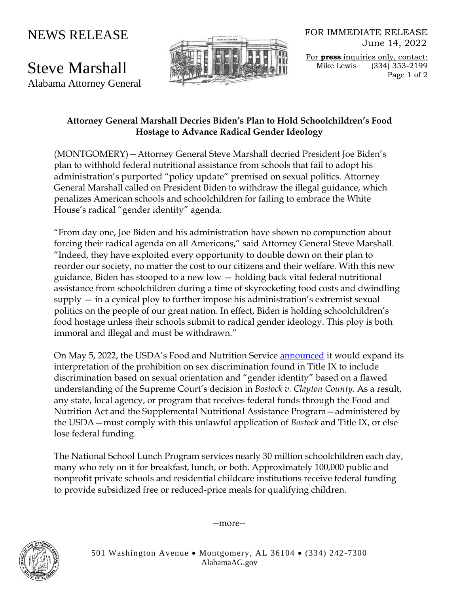## NEWS RELEASE

Steve Marshall Alabama Attorney General



FOR IMMEDIATE RELEASE June 14, 2022

For **press** inquiries only, contact: Mike Lewis (334) 353-2199 Page 1 of 2

## **Attorney General Marshall Decries Biden's Plan to Hold Schoolchildren's Food Hostage to Advance Radical Gender Ideology**

(MONTGOMERY)—Attorney General Steve Marshall decried President Joe Biden's plan to withhold federal nutritional assistance from schools that fail to adopt his administration's purported "policy update" premised on sexual politics. Attorney General Marshall called on President Biden to withdraw the illegal guidance, which penalizes American schools and schoolchildren for failing to embrace the White House's radical "gender identity" agenda.

"From day one, Joe Biden and his administration have shown no compunction about forcing their radical agenda on all Americans," said Attorney General Steve Marshall. "Indeed, they have exploited every opportunity to double down on their plan to reorder our society, no matter the cost to our citizens and their welfare. With this new guidance, Biden has stooped to a new low — holding back vital federal nutritional assistance from schoolchildren during a time of skyrocketing food costs and dwindling supply — in a cynical ploy to further impose his administration's extremist sexual politics on the people of our great nation. In effect, Biden is holding schoolchildren's food hostage unless their schools submit to radical gender ideology. This ploy is both immoral and illegal and must be withdrawn."

On May 5, 2022, the USDA's Food and Nutrition Service [announced](https://www.fns.usda.gov/news-item/usda-0100.22) it would expand its interpretation of the prohibition on sex discrimination found in Title IX to include discrimination based on sexual orientation and "gender identity" based on a flawed understanding of the Supreme Court's decision in *Bostock v. Clayton County*. As a result, any state, local agency, or program that receives federal funds through the Food and Nutrition Act and the Supplemental Nutritional Assistance Program—administered by the USDA—must comply with this unlawful application of *Bostock* and Title IX, or else lose federal funding.

The National School Lunch Program services nearly 30 million schoolchildren each day, many who rely on it for breakfast, lunch, or both. Approximately 100,000 public and nonprofit private schools and residential childcare institutions receive federal funding to provide subsidized free or reduced-price meals for qualifying children.

--more--